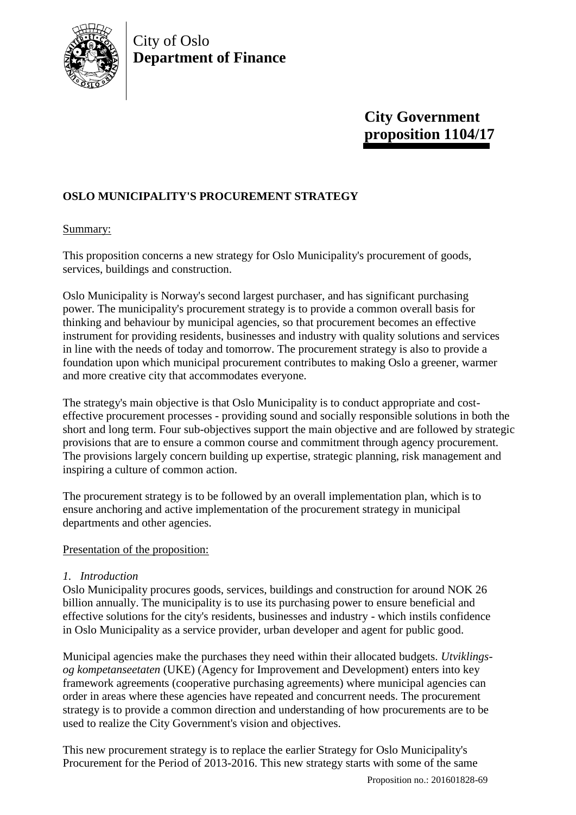

# City of Oslo **Department of Finance**

# **City Government proposition 1104/17**

# **OSLO MUNICIPALITY'S PROCUREMENT STRATEGY**

## Summary:

This proposition concerns a new strategy for Oslo Municipality's procurement of goods, services, buildings and construction.

Oslo Municipality is Norway's second largest purchaser, and has significant purchasing power. The municipality's procurement strategy is to provide a common overall basis for thinking and behaviour by municipal agencies, so that procurement becomes an effective instrument for providing residents, businesses and industry with quality solutions and services in line with the needs of today and tomorrow. The procurement strategy is also to provide a foundation upon which municipal procurement contributes to making Oslo a greener, warmer and more creative city that accommodates everyone.

The strategy's main objective is that Oslo Municipality is to conduct appropriate and costeffective procurement processes - providing sound and socially responsible solutions in both the short and long term. Four sub-objectives support the main objective and are followed by strategic provisions that are to ensure a common course and commitment through agency procurement. The provisions largely concern building up expertise, strategic planning, risk management and inspiring a culture of common action.

The procurement strategy is to be followed by an overall implementation plan, which is to ensure anchoring and active implementation of the procurement strategy in municipal departments and other agencies.

### Presentation of the proposition:

# *1. Introduction*

Oslo Municipality procures goods, services, buildings and construction for around NOK 26 billion annually. The municipality is to use its purchasing power to ensure beneficial and effective solutions for the city's residents, businesses and industry - which instils confidence in Oslo Municipality as a service provider, urban developer and agent for public good.

Municipal agencies make the purchases they need within their allocated budgets. *Utviklingsog kompetanseetaten* (UKE) (Agency for Improvement and Development) enters into key framework agreements (cooperative purchasing agreements) where municipal agencies can order in areas where these agencies have repeated and concurrent needs. The procurement strategy is to provide a common direction and understanding of how procurements are to be used to realize the City Government's vision and objectives.

This new procurement strategy is to replace the earlier Strategy for Oslo Municipality's Procurement for the Period of 2013-2016. This new strategy starts with some of the same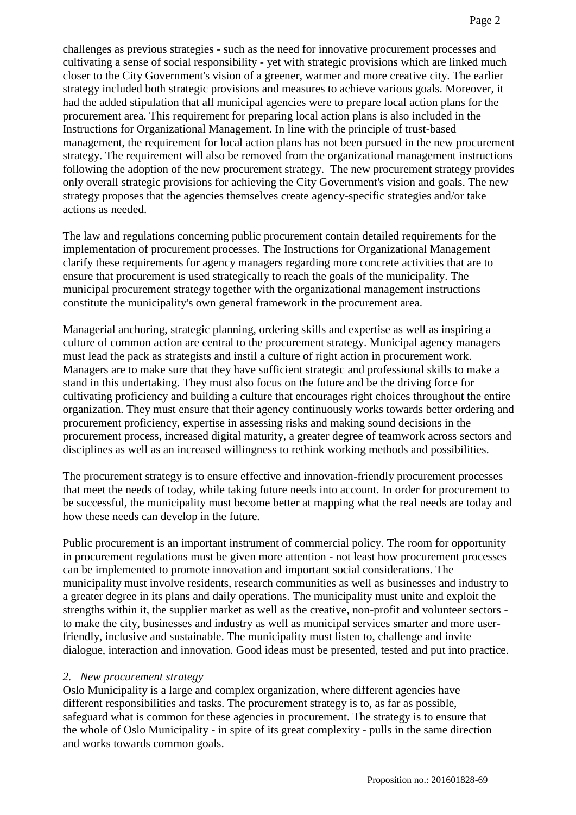challenges as previous strategies - such as the need for innovative procurement processes and cultivating a sense of social responsibility - yet with strategic provisions which are linked much closer to the City Government's vision of a greener, warmer and more creative city. The earlier strategy included both strategic provisions and measures to achieve various goals. Moreover, it had the added stipulation that all municipal agencies were to prepare local action plans for the procurement area. This requirement for preparing local action plans is also included in the Instructions for Organizational Management. In line with the principle of trust-based management, the requirement for local action plans has not been pursued in the new procurement strategy. The requirement will also be removed from the organizational management instructions following the adoption of the new procurement strategy. The new procurement strategy provides only overall strategic provisions for achieving the City Government's vision and goals. The new strategy proposes that the agencies themselves create agency-specific strategies and/or take actions as needed.

The law and regulations concerning public procurement contain detailed requirements for the implementation of procurement processes. The Instructions for Organizational Management clarify these requirements for agency managers regarding more concrete activities that are to ensure that procurement is used strategically to reach the goals of the municipality. The municipal procurement strategy together with the organizational management instructions constitute the municipality's own general framework in the procurement area.

Managerial anchoring, strategic planning, ordering skills and expertise as well as inspiring a culture of common action are central to the procurement strategy. Municipal agency managers must lead the pack as strategists and instil a culture of right action in procurement work. Managers are to make sure that they have sufficient strategic and professional skills to make a stand in this undertaking. They must also focus on the future and be the driving force for cultivating proficiency and building a culture that encourages right choices throughout the entire organization. They must ensure that their agency continuously works towards better ordering and procurement proficiency, expertise in assessing risks and making sound decisions in the procurement process, increased digital maturity, a greater degree of teamwork across sectors and disciplines as well as an increased willingness to rethink working methods and possibilities.

The procurement strategy is to ensure effective and innovation-friendly procurement processes that meet the needs of today, while taking future needs into account. In order for procurement to be successful, the municipality must become better at mapping what the real needs are today and how these needs can develop in the future.

Public procurement is an important instrument of commercial policy. The room for opportunity in procurement regulations must be given more attention - not least how procurement processes can be implemented to promote innovation and important social considerations. The municipality must involve residents, research communities as well as businesses and industry to a greater degree in its plans and daily operations. The municipality must unite and exploit the strengths within it, the supplier market as well as the creative, non-profit and volunteer sectors to make the city, businesses and industry as well as municipal services smarter and more userfriendly, inclusive and sustainable. The municipality must listen to, challenge and invite dialogue, interaction and innovation. Good ideas must be presented, tested and put into practice.

#### *2. New procurement strategy*

Oslo Municipality is a large and complex organization, where different agencies have different responsibilities and tasks. The procurement strategy is to, as far as possible, safeguard what is common for these agencies in procurement. The strategy is to ensure that the whole of Oslo Municipality - in spite of its great complexity - pulls in the same direction and works towards common goals.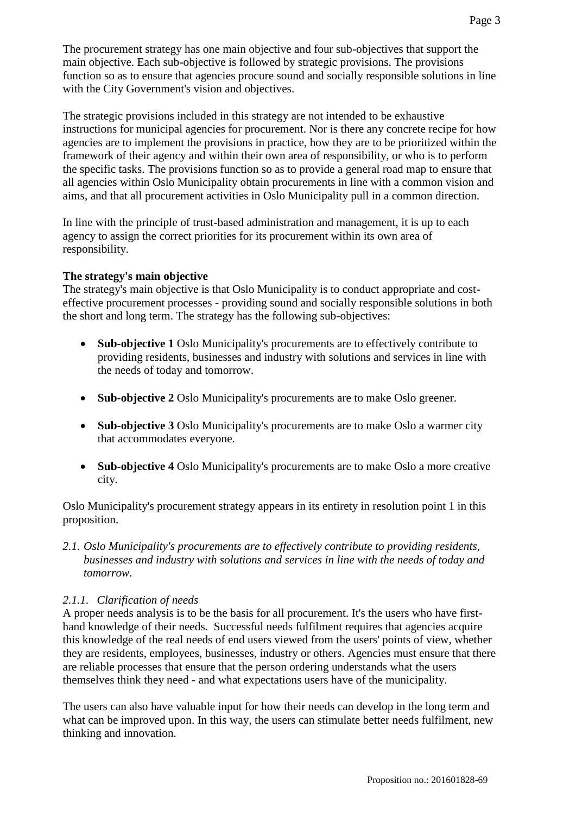The procurement strategy has one main objective and four sub-objectives that support the main objective. Each sub-objective is followed by strategic provisions. The provisions function so as to ensure that agencies procure sound and socially responsible solutions in line with the City Government's vision and objectives.

The strategic provisions included in this strategy are not intended to be exhaustive instructions for municipal agencies for procurement. Nor is there any concrete recipe for how agencies are to implement the provisions in practice, how they are to be prioritized within the framework of their agency and within their own area of responsibility, or who is to perform the specific tasks. The provisions function so as to provide a general road map to ensure that all agencies within Oslo Municipality obtain procurements in line with a common vision and aims, and that all procurement activities in Oslo Municipality pull in a common direction.

In line with the principle of trust-based administration and management, it is up to each agency to assign the correct priorities for its procurement within its own area of responsibility.

### **The strategy's main objective**

The strategy's main objective is that Oslo Municipality is to conduct appropriate and costeffective procurement processes - providing sound and socially responsible solutions in both the short and long term. The strategy has the following sub-objectives:

- **Sub-objective 1** Oslo Municipality's procurements are to effectively contribute to providing residents, businesses and industry with solutions and services in line with the needs of today and tomorrow.
- **Sub-objective 2** Oslo Municipality's procurements are to make Oslo greener.
- **Sub-objective 3** Oslo Municipality's procurements are to make Oslo a warmer city that accommodates everyone.
- **Sub-objective 4** Oslo Municipality's procurements are to make Oslo a more creative city.

Oslo Municipality's procurement strategy appears in its entirety in resolution point 1 in this proposition.

*2.1. Oslo Municipality's procurements are to effectively contribute to providing residents, businesses and industry with solutions and services in line with the needs of today and tomorrow.*

### *2.1.1. Clarification of needs*

A proper needs analysis is to be the basis for all procurement. It's the users who have firsthand knowledge of their needs. Successful needs fulfilment requires that agencies acquire this knowledge of the real needs of end users viewed from the users' points of view, whether they are residents, employees, businesses, industry or others. Agencies must ensure that there are reliable processes that ensure that the person ordering understands what the users themselves think they need - and what expectations users have of the municipality.

The users can also have valuable input for how their needs can develop in the long term and what can be improved upon. In this way, the users can stimulate better needs fulfilment, new thinking and innovation.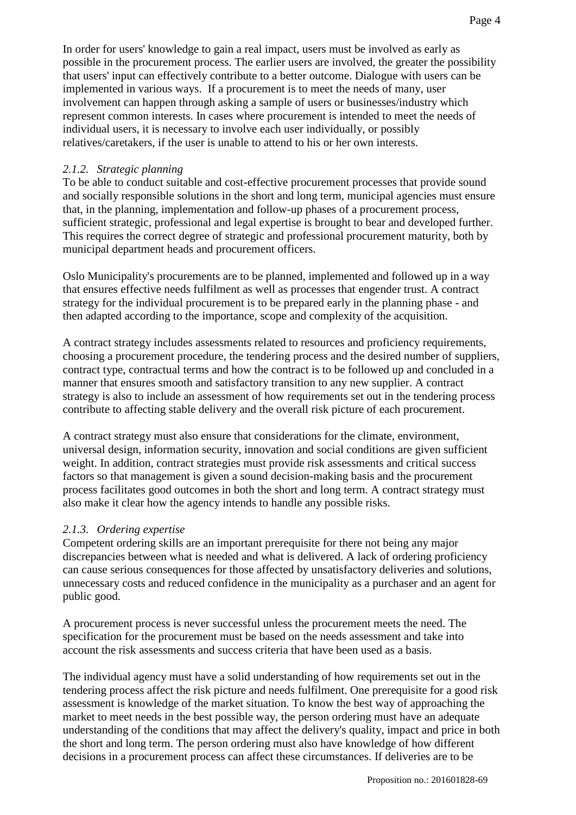In order for users' knowledge to gain a real impact, users must be involved as early as possible in the procurement process. The earlier users are involved, the greater the possibility that users' input can effectively contribute to a better outcome. Dialogue with users can be implemented in various ways. If a procurement is to meet the needs of many, user involvement can happen through asking a sample of users or businesses/industry which represent common interests. In cases where procurement is intended to meet the needs of individual users, it is necessary to involve each user individually, or possibly relatives/caretakers, if the user is unable to attend to his or her own interests.

## *2.1.2. Strategic planning*

To be able to conduct suitable and cost-effective procurement processes that provide sound and socially responsible solutions in the short and long term, municipal agencies must ensure that, in the planning, implementation and follow-up phases of a procurement process, sufficient strategic, professional and legal expertise is brought to bear and developed further. This requires the correct degree of strategic and professional procurement maturity, both by municipal department heads and procurement officers.

Oslo Municipality's procurements are to be planned, implemented and followed up in a way that ensures effective needs fulfilment as well as processes that engender trust. A contract strategy for the individual procurement is to be prepared early in the planning phase - and then adapted according to the importance, scope and complexity of the acquisition.

A contract strategy includes assessments related to resources and proficiency requirements, choosing a procurement procedure, the tendering process and the desired number of suppliers, contract type, contractual terms and how the contract is to be followed up and concluded in a manner that ensures smooth and satisfactory transition to any new supplier. A contract strategy is also to include an assessment of how requirements set out in the tendering process contribute to affecting stable delivery and the overall risk picture of each procurement.

A contract strategy must also ensure that considerations for the climate, environment, universal design, information security, innovation and social conditions are given sufficient weight. In addition, contract strategies must provide risk assessments and critical success factors so that management is given a sound decision-making basis and the procurement process facilitates good outcomes in both the short and long term. A contract strategy must also make it clear how the agency intends to handle any possible risks.

### *2.1.3. Ordering expertise*

Competent ordering skills are an important prerequisite for there not being any major discrepancies between what is needed and what is delivered. A lack of ordering proficiency can cause serious consequences for those affected by unsatisfactory deliveries and solutions, unnecessary costs and reduced confidence in the municipality as a purchaser and an agent for public good.

A procurement process is never successful unless the procurement meets the need. The specification for the procurement must be based on the needs assessment and take into account the risk assessments and success criteria that have been used as a basis.

The individual agency must have a solid understanding of how requirements set out in the tendering process affect the risk picture and needs fulfilment. One prerequisite for a good risk assessment is knowledge of the market situation. To know the best way of approaching the market to meet needs in the best possible way, the person ordering must have an adequate understanding of the conditions that may affect the delivery's quality, impact and price in both the short and long term. The person ordering must also have knowledge of how different decisions in a procurement process can affect these circumstances. If deliveries are to be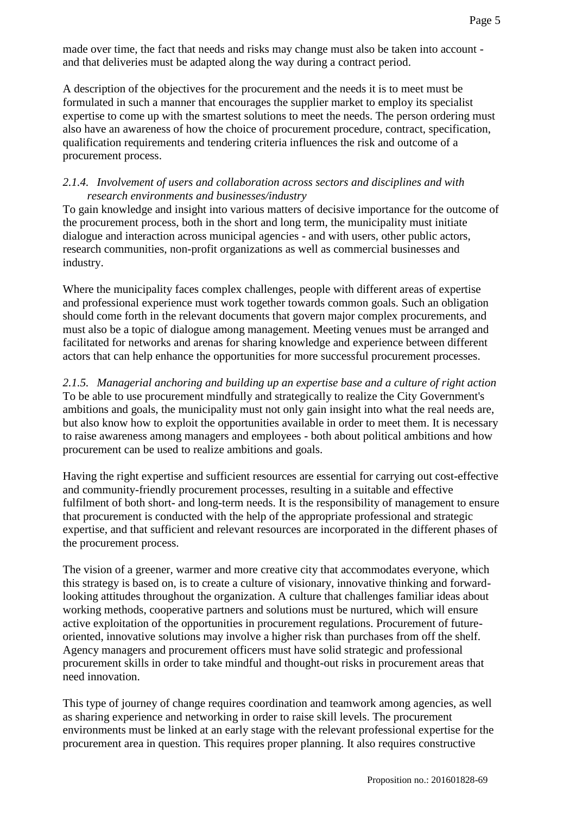made over time, the fact that needs and risks may change must also be taken into account and that deliveries must be adapted along the way during a contract period.

A description of the objectives for the procurement and the needs it is to meet must be formulated in such a manner that encourages the supplier market to employ its specialist expertise to come up with the smartest solutions to meet the needs. The person ordering must also have an awareness of how the choice of procurement procedure, contract, specification, qualification requirements and tendering criteria influences the risk and outcome of a procurement process.

#### *2.1.4. Involvement of users and collaboration across sectors and disciplines and with research environments and businesses/industry*

To gain knowledge and insight into various matters of decisive importance for the outcome of the procurement process, both in the short and long term, the municipality must initiate dialogue and interaction across municipal agencies - and with users, other public actors, research communities, non-profit organizations as well as commercial businesses and industry.

Where the municipality faces complex challenges, people with different areas of expertise and professional experience must work together towards common goals. Such an obligation should come forth in the relevant documents that govern major complex procurements, and must also be a topic of dialogue among management. Meeting venues must be arranged and facilitated for networks and arenas for sharing knowledge and experience between different actors that can help enhance the opportunities for more successful procurement processes.

*2.1.5. Managerial anchoring and building up an expertise base and a culture of right action* To be able to use procurement mindfully and strategically to realize the City Government's ambitions and goals, the municipality must not only gain insight into what the real needs are, but also know how to exploit the opportunities available in order to meet them. It is necessary to raise awareness among managers and employees - both about political ambitions and how procurement can be used to realize ambitions and goals.

Having the right expertise and sufficient resources are essential for carrying out cost-effective and community-friendly procurement processes, resulting in a suitable and effective fulfilment of both short- and long-term needs. It is the responsibility of management to ensure that procurement is conducted with the help of the appropriate professional and strategic expertise, and that sufficient and relevant resources are incorporated in the different phases of the procurement process.

The vision of a greener, warmer and more creative city that accommodates everyone, which this strategy is based on, is to create a culture of visionary, innovative thinking and forwardlooking attitudes throughout the organization. A culture that challenges familiar ideas about working methods, cooperative partners and solutions must be nurtured, which will ensure active exploitation of the opportunities in procurement regulations. Procurement of futureoriented, innovative solutions may involve a higher risk than purchases from off the shelf. Agency managers and procurement officers must have solid strategic and professional procurement skills in order to take mindful and thought-out risks in procurement areas that need innovation.

This type of journey of change requires coordination and teamwork among agencies, as well as sharing experience and networking in order to raise skill levels. The procurement environments must be linked at an early stage with the relevant professional expertise for the procurement area in question. This requires proper planning. It also requires constructive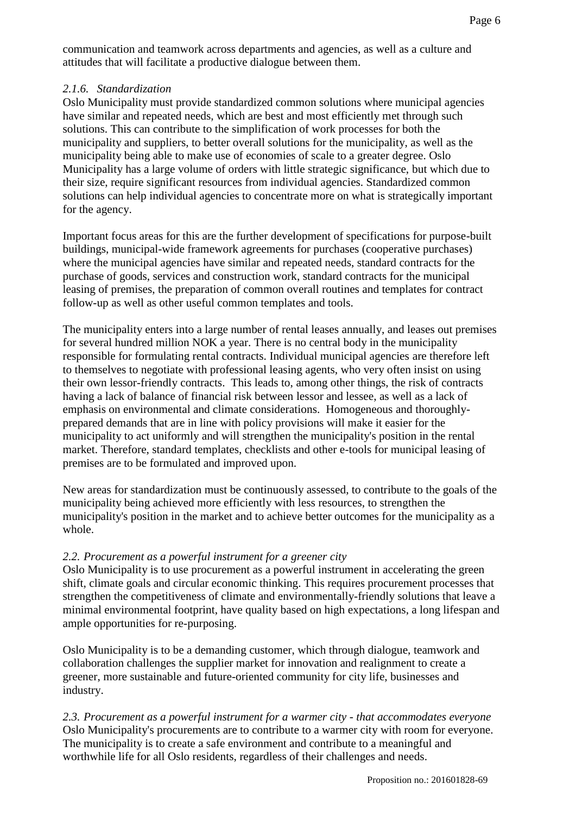communication and teamwork across departments and agencies, as well as a culture and attitudes that will facilitate a productive dialogue between them.

## *2.1.6. Standardization*

Oslo Municipality must provide standardized common solutions where municipal agencies have similar and repeated needs, which are best and most efficiently met through such solutions. This can contribute to the simplification of work processes for both the municipality and suppliers, to better overall solutions for the municipality, as well as the municipality being able to make use of economies of scale to a greater degree. Oslo Municipality has a large volume of orders with little strategic significance, but which due to their size, require significant resources from individual agencies. Standardized common solutions can help individual agencies to concentrate more on what is strategically important for the agency.

Important focus areas for this are the further development of specifications for purpose-built buildings, municipal-wide framework agreements for purchases (cooperative purchases) where the municipal agencies have similar and repeated needs, standard contracts for the purchase of goods, services and construction work, standard contracts for the municipal leasing of premises, the preparation of common overall routines and templates for contract follow-up as well as other useful common templates and tools.

The municipality enters into a large number of rental leases annually, and leases out premises for several hundred million NOK a year. There is no central body in the municipality responsible for formulating rental contracts. Individual municipal agencies are therefore left to themselves to negotiate with professional leasing agents, who very often insist on using their own lessor-friendly contracts. This leads to, among other things, the risk of contracts having a lack of balance of financial risk between lessor and lessee, as well as a lack of emphasis on environmental and climate considerations. Homogeneous and thoroughlyprepared demands that are in line with policy provisions will make it easier for the municipality to act uniformly and will strengthen the municipality's position in the rental market. Therefore, standard templates, checklists and other e-tools for municipal leasing of premises are to be formulated and improved upon.

New areas for standardization must be continuously assessed, to contribute to the goals of the municipality being achieved more efficiently with less resources, to strengthen the municipality's position in the market and to achieve better outcomes for the municipality as a whole.

# *2.2. Procurement as a powerful instrument for a greener city*

Oslo Municipality is to use procurement as a powerful instrument in accelerating the green shift, climate goals and circular economic thinking. This requires procurement processes that strengthen the competitiveness of climate and environmentally-friendly solutions that leave a minimal environmental footprint, have quality based on high expectations, a long lifespan and ample opportunities for re-purposing.

Oslo Municipality is to be a demanding customer, which through dialogue, teamwork and collaboration challenges the supplier market for innovation and realignment to create a greener, more sustainable and future-oriented community for city life, businesses and industry.

*2.3. Procurement as a powerful instrument for a warmer city - that accommodates everyone* Oslo Municipality's procurements are to contribute to a warmer city with room for everyone. The municipality is to create a safe environment and contribute to a meaningful and worthwhile life for all Oslo residents, regardless of their challenges and needs.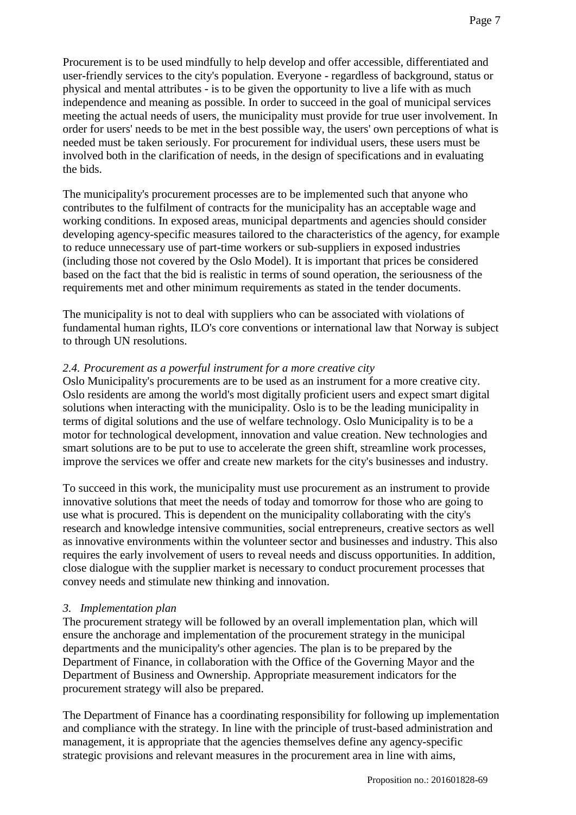Procurement is to be used mindfully to help develop and offer accessible, differentiated and user-friendly services to the city's population. Everyone - regardless of background, status or physical and mental attributes - is to be given the opportunity to live a life with as much independence and meaning as possible. In order to succeed in the goal of municipal services meeting the actual needs of users, the municipality must provide for true user involvement. In order for users' needs to be met in the best possible way, the users' own perceptions of what is needed must be taken seriously. For procurement for individual users, these users must be involved both in the clarification of needs, in the design of specifications and in evaluating the bids.

The municipality's procurement processes are to be implemented such that anyone who contributes to the fulfilment of contracts for the municipality has an acceptable wage and working conditions. In exposed areas, municipal departments and agencies should consider developing agency-specific measures tailored to the characteristics of the agency, for example to reduce unnecessary use of part-time workers or sub-suppliers in exposed industries (including those not covered by the Oslo Model). It is important that prices be considered based on the fact that the bid is realistic in terms of sound operation, the seriousness of the requirements met and other minimum requirements as stated in the tender documents.

The municipality is not to deal with suppliers who can be associated with violations of fundamental human rights, ILO's core conventions or international law that Norway is subject to through UN resolutions.

#### *2.4. Procurement as a powerful instrument for a more creative city*

Oslo Municipality's procurements are to be used as an instrument for a more creative city. Oslo residents are among the world's most digitally proficient users and expect smart digital solutions when interacting with the municipality. Oslo is to be the leading municipality in terms of digital solutions and the use of welfare technology. Oslo Municipality is to be a motor for technological development, innovation and value creation. New technologies and smart solutions are to be put to use to accelerate the green shift, streamline work processes, improve the services we offer and create new markets for the city's businesses and industry.

To succeed in this work, the municipality must use procurement as an instrument to provide innovative solutions that meet the needs of today and tomorrow for those who are going to use what is procured. This is dependent on the municipality collaborating with the city's research and knowledge intensive communities, social entrepreneurs, creative sectors as well as innovative environments within the volunteer sector and businesses and industry. This also requires the early involvement of users to reveal needs and discuss opportunities. In addition, close dialogue with the supplier market is necessary to conduct procurement processes that convey needs and stimulate new thinking and innovation.

#### *3. Implementation plan*

The procurement strategy will be followed by an overall implementation plan, which will ensure the anchorage and implementation of the procurement strategy in the municipal departments and the municipality's other agencies. The plan is to be prepared by the Department of Finance, in collaboration with the Office of the Governing Mayor and the Department of Business and Ownership. Appropriate measurement indicators for the procurement strategy will also be prepared.

The Department of Finance has a coordinating responsibility for following up implementation and compliance with the strategy. In line with the principle of trust-based administration and management, it is appropriate that the agencies themselves define any agency-specific strategic provisions and relevant measures in the procurement area in line with aims,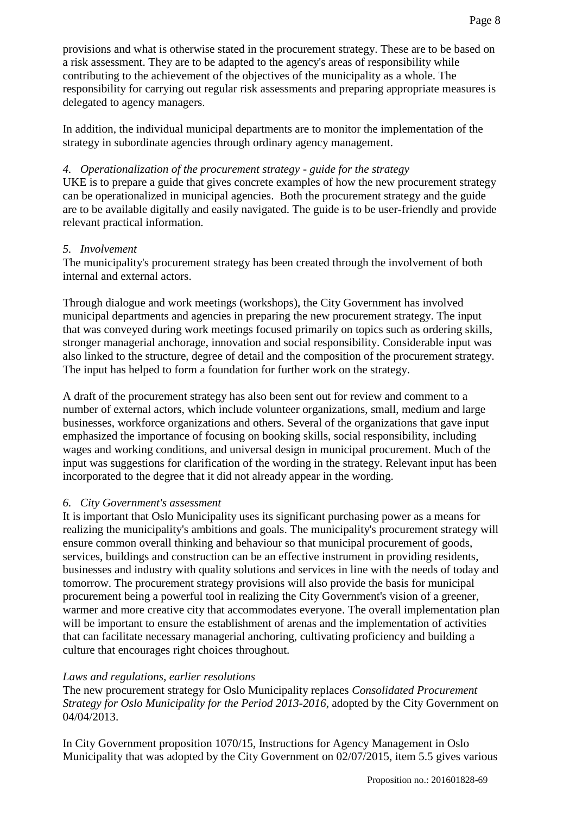provisions and what is otherwise stated in the procurement strategy. These are to be based on a risk assessment. They are to be adapted to the agency's areas of responsibility while contributing to the achievement of the objectives of the municipality as a whole. The responsibility for carrying out regular risk assessments and preparing appropriate measures is delegated to agency managers.

In addition, the individual municipal departments are to monitor the implementation of the strategy in subordinate agencies through ordinary agency management.

# *4. Operationalization of the procurement strategy - guide for the strategy*

UKE is to prepare a guide that gives concrete examples of how the new procurement strategy can be operationalized in municipal agencies. Both the procurement strategy and the guide are to be available digitally and easily navigated. The guide is to be user-friendly and provide relevant practical information.

### *5. Involvement*

The municipality's procurement strategy has been created through the involvement of both internal and external actors.

Through dialogue and work meetings (workshops), the City Government has involved municipal departments and agencies in preparing the new procurement strategy. The input that was conveyed during work meetings focused primarily on topics such as ordering skills, stronger managerial anchorage, innovation and social responsibility. Considerable input was also linked to the structure, degree of detail and the composition of the procurement strategy. The input has helped to form a foundation for further work on the strategy.

A draft of the procurement strategy has also been sent out for review and comment to a number of external actors, which include volunteer organizations, small, medium and large businesses, workforce organizations and others. Several of the organizations that gave input emphasized the importance of focusing on booking skills, social responsibility, including wages and working conditions, and universal design in municipal procurement. Much of the input was suggestions for clarification of the wording in the strategy. Relevant input has been incorporated to the degree that it did not already appear in the wording.

### *6. City Government's assessment*

It is important that Oslo Municipality uses its significant purchasing power as a means for realizing the municipality's ambitions and goals. The municipality's procurement strategy will ensure common overall thinking and behaviour so that municipal procurement of goods, services, buildings and construction can be an effective instrument in providing residents, businesses and industry with quality solutions and services in line with the needs of today and tomorrow. The procurement strategy provisions will also provide the basis for municipal procurement being a powerful tool in realizing the City Government's vision of a greener, warmer and more creative city that accommodates everyone. The overall implementation plan will be important to ensure the establishment of arenas and the implementation of activities that can facilitate necessary managerial anchoring, cultivating proficiency and building a culture that encourages right choices throughout.

#### *Laws and regulations, earlier resolutions*

The new procurement strategy for Oslo Municipality replaces *Consolidated Procurement Strategy for Oslo Municipality for the Period 2013-2016*, adopted by the City Government on 04/04/2013.

In City Government proposition 1070/15, Instructions for Agency Management in Oslo Municipality that was adopted by the City Government on 02/07/2015, item 5.5 gives various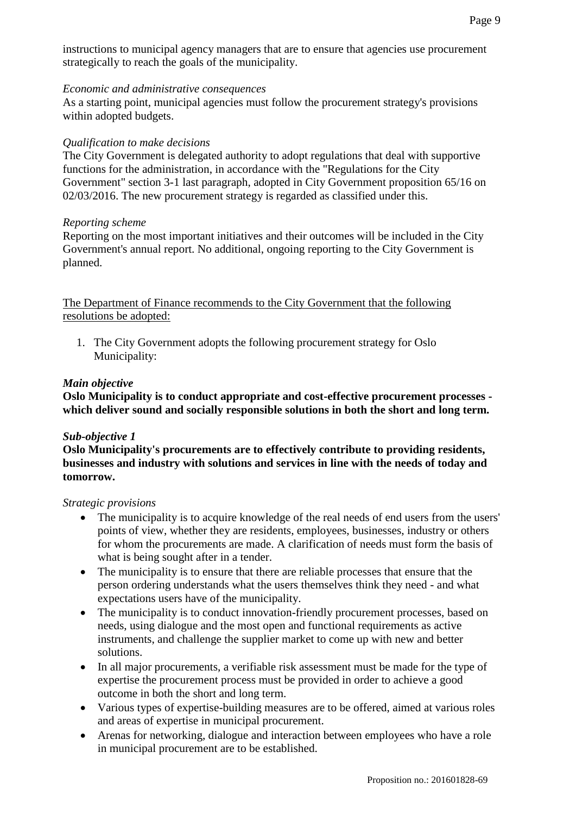instructions to municipal agency managers that are to ensure that agencies use procurement strategically to reach the goals of the municipality.

#### *Economic and administrative consequences*

As a starting point, municipal agencies must follow the procurement strategy's provisions within adopted budgets.

#### *Qualification to make decisions*

The City Government is delegated authority to adopt regulations that deal with supportive functions for the administration, in accordance with the "Regulations for the City Government" section 3-1 last paragraph, adopted in City Government proposition 65/16 on 02/03/2016. The new procurement strategy is regarded as classified under this.

#### *Reporting scheme*

Reporting on the most important initiatives and their outcomes will be included in the City Government's annual report. No additional, ongoing reporting to the City Government is planned.

The Department of Finance recommends to the City Government that the following resolutions be adopted:

1. The City Government adopts the following procurement strategy for Oslo Municipality:

#### *Main objective*

**Oslo Municipality is to conduct appropriate and cost-effective procurement processes which deliver sound and socially responsible solutions in both the short and long term.** 

#### *Sub-objective 1*

**Oslo Municipality's procurements are to effectively contribute to providing residents, businesses and industry with solutions and services in line with the needs of today and tomorrow.** 

#### *Strategic provisions*

- The municipality is to acquire knowledge of the real needs of end users from the users' points of view, whether they are residents, employees, businesses, industry or others for whom the procurements are made. A clarification of needs must form the basis of what is being sought after in a tender.
- The municipality is to ensure that there are reliable processes that ensure that the person ordering understands what the users themselves think they need - and what expectations users have of the municipality.
- The municipality is to conduct innovation-friendly procurement processes, based on needs, using dialogue and the most open and functional requirements as active instruments, and challenge the supplier market to come up with new and better solutions.
- In all major procurements, a verifiable risk assessment must be made for the type of expertise the procurement process must be provided in order to achieve a good outcome in both the short and long term.
- Various types of expertise-building measures are to be offered, aimed at various roles and areas of expertise in municipal procurement.
- Arenas for networking, dialogue and interaction between employees who have a role in municipal procurement are to be established.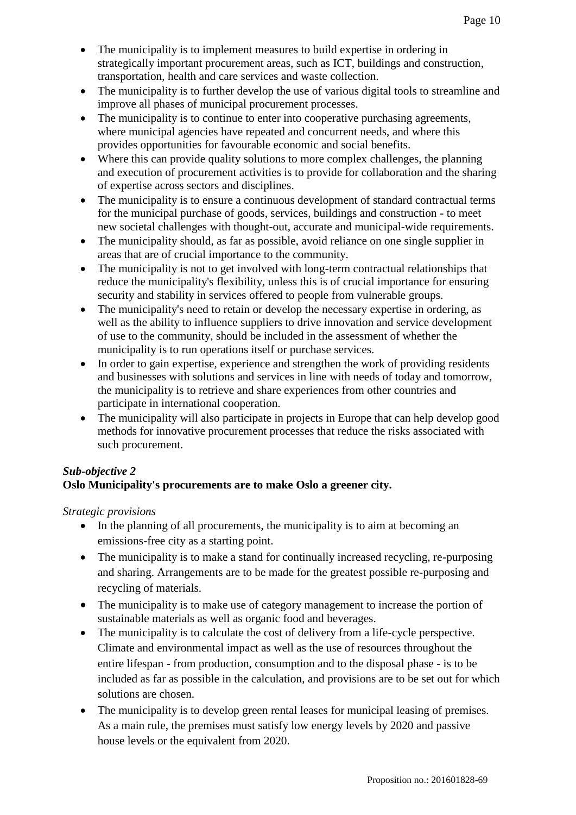- The municipality is to implement measures to build expertise in ordering in strategically important procurement areas, such as ICT, buildings and construction, transportation, health and care services and waste collection.
- The municipality is to further develop the use of various digital tools to streamline and improve all phases of municipal procurement processes.
- The municipality is to continue to enter into cooperative purchasing agreements, where municipal agencies have repeated and concurrent needs, and where this provides opportunities for favourable economic and social benefits.
- Where this can provide quality solutions to more complex challenges, the planning and execution of procurement activities is to provide for collaboration and the sharing of expertise across sectors and disciplines.
- The municipality is to ensure a continuous development of standard contractual terms for the municipal purchase of goods, services, buildings and construction - to meet new societal challenges with thought-out, accurate and municipal-wide requirements.
- The municipality should, as far as possible, avoid reliance on one single supplier in areas that are of crucial importance to the community.
- The municipality is not to get involved with long-term contractual relationships that reduce the municipality's flexibility, unless this is of crucial importance for ensuring security and stability in services offered to people from vulnerable groups.
- The municipality's need to retain or develop the necessary expertise in ordering, as well as the ability to influence suppliers to drive innovation and service development of use to the community, should be included in the assessment of whether the municipality is to run operations itself or purchase services.
- In order to gain expertise, experience and strengthen the work of providing residents and businesses with solutions and services in line with needs of today and tomorrow, the municipality is to retrieve and share experiences from other countries and participate in international cooperation.
- The municipality will also participate in projects in Europe that can help develop good methods for innovative procurement processes that reduce the risks associated with such procurement.

# *Sub-objective 2*

# **Oslo Municipality's procurements are to make Oslo a greener city.**

*Strategic provisions*

- In the planning of all procurements, the municipality is to aim at becoming an emissions-free city as a starting point.
- The municipality is to make a stand for continually increased recycling, re-purposing and sharing. Arrangements are to be made for the greatest possible re-purposing and recycling of materials.
- The municipality is to make use of category management to increase the portion of sustainable materials as well as organic food and beverages.
- The municipality is to calculate the cost of delivery from a life-cycle perspective. Climate and environmental impact as well as the use of resources throughout the entire lifespan - from production, consumption and to the disposal phase - is to be included as far as possible in the calculation, and provisions are to be set out for which solutions are chosen.
- The municipality is to develop green rental leases for municipal leasing of premises. As a main rule, the premises must satisfy low energy levels by 2020 and passive house levels or the equivalent from 2020.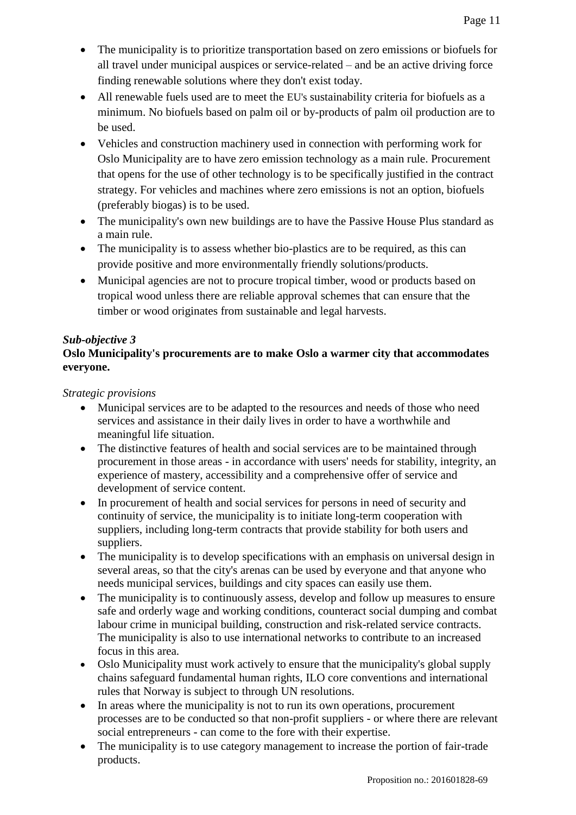- The municipality is to prioritize transportation based on zero emissions or biofuels for all travel under municipal auspices or service-related – and be an active driving force finding renewable solutions where they don't exist today.
- All renewable fuels used are to meet the EU's sustainability criteria for biofuels as a minimum. No biofuels based on palm oil or by-products of palm oil production are to be used.
- Vehicles and construction machinery used in connection with performing work for Oslo Municipality are to have zero emission technology as a main rule. Procurement that opens for the use of other technology is to be specifically justified in the contract strategy. For vehicles and machines where zero emissions is not an option, biofuels (preferably biogas) is to be used.
- The municipality's own new buildings are to have the Passive House Plus standard as a main rule.
- The municipality is to assess whether bio-plastics are to be required, as this can provide positive and more environmentally friendly solutions/products.
- Municipal agencies are not to procure tropical timber, wood or products based on tropical wood unless there are reliable approval schemes that can ensure that the timber or wood originates from sustainable and legal harvests.

# *Sub-objective 3*

# **Oslo Municipality's procurements are to make Oslo a warmer city that accommodates everyone.**

*Strategic provisions*

- Municipal services are to be adapted to the resources and needs of those who need services and assistance in their daily lives in order to have a worthwhile and meaningful life situation.
- The distinctive features of health and social services are to be maintained through procurement in those areas - in accordance with users' needs for stability, integrity, an experience of mastery, accessibility and a comprehensive offer of service and development of service content.
- In procurement of health and social services for persons in need of security and continuity of service, the municipality is to initiate long-term cooperation with suppliers, including long-term contracts that provide stability for both users and suppliers.
- The municipality is to develop specifications with an emphasis on universal design in several areas, so that the city's arenas can be used by everyone and that anyone who needs municipal services, buildings and city spaces can easily use them.
- The municipality is to continuously assess, develop and follow up measures to ensure safe and orderly wage and working conditions, counteract social dumping and combat labour crime in municipal building, construction and risk-related service contracts. The municipality is also to use international networks to contribute to an increased focus in this area.
- Oslo Municipality must work actively to ensure that the municipality's global supply chains safeguard fundamental human rights, ILO core conventions and international rules that Norway is subject to through UN resolutions.
- In areas where the municipality is not to run its own operations, procurement processes are to be conducted so that non-profit suppliers - or where there are relevant social entrepreneurs - can come to the fore with their expertise.
- The municipality is to use category management to increase the portion of fair-trade products.